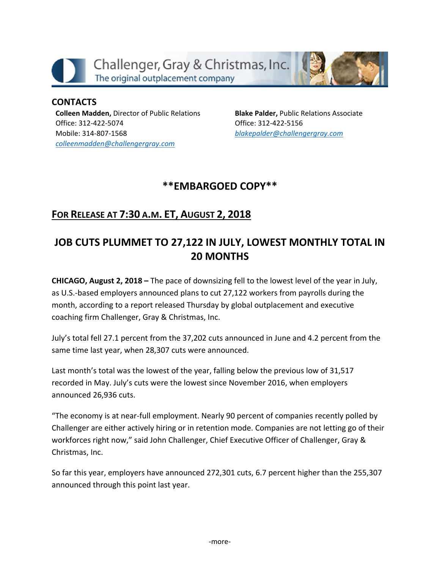

**CONTACTS Colleen Madden,** Director of Public Relations Office: 312-422-5074 Mobile: 314-807-1568 *[colleenmadden@challengergray.com](mailto:colleenmadden@challengergray.com)*

**Blake Palder,** Public Relations Associate Office: 312-422-5156 *[blakepalder@challengergray.com](mailto:blakepalder@challengergray.com)*

## **\*\*EMBARGOED COPY\*\***

# **FOR RELEASE AT 7:30 A.M. ET, AUGUST 2, 2018**

# **JOB CUTS PLUMMET TO 27,122 IN JULY, LOWEST MONTHLY TOTAL IN 20 MONTHS**

**CHICAGO, August 2, 2018 –** The pace of downsizing fell to the lowest level of the year in July, as U.S.-based employers announced plans to cut 27,122 workers from payrolls during the month, according to a report released Thursday by global outplacement and executive coaching firm Challenger, Gray & Christmas, Inc.

July's total fell 27.1 percent from the 37,202 cuts announced in June and 4.2 percent from the same time last year, when 28,307 cuts were announced.

Last month's total was the lowest of the year, falling below the previous low of 31,517 recorded in May. July's cuts were the lowest since November 2016, when employers announced 26,936 cuts.

"The economy is at near-full employment. Nearly 90 percent of companies recently polled by Challenger are either actively hiring or in retention mode. Companies are not letting go of their workforces right now," said John Challenger, Chief Executive Officer of Challenger, Gray & Christmas, Inc.

So far this year, employers have announced 272,301 cuts, 6.7 percent higher than the 255,307 announced through this point last year.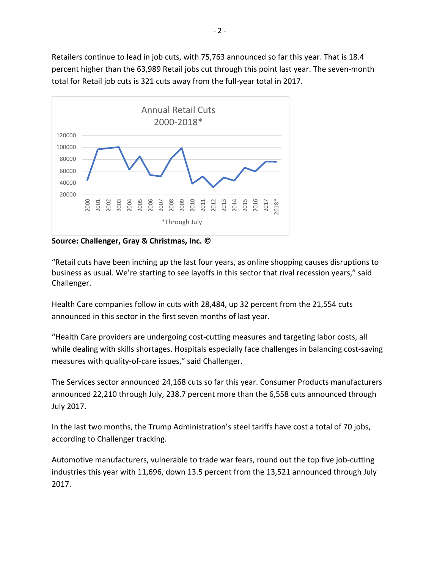Retailers continue to lead in job cuts, with 75,763 announced so far this year. That is 18.4 percent higher than the 63,989 Retail jobs cut through this point last year. The seven-month total for Retail job cuts is 321 cuts away from the full-year total in 2017.



**Source: Challenger, Gray & Christmas, Inc. ©** 

"Retail cuts have been inching up the last four years, as online shopping causes disruptions to business as usual. We're starting to see layoffs in this sector that rival recession years," said Challenger.

Health Care companies follow in cuts with 28,484, up 32 percent from the 21,554 cuts announced in this sector in the first seven months of last year.

"Health Care providers are undergoing cost-cutting measures and targeting labor costs, all while dealing with skills shortages. Hospitals especially face challenges in balancing cost-saving measures with quality-of-care issues," said Challenger.

The Services sector announced 24,168 cuts so far this year. Consumer Products manufacturers announced 22,210 through July, 238.7 percent more than the 6,558 cuts announced through July 2017.

In the last two months, the Trump Administration's steel tariffs have cost a total of 70 jobs, according to Challenger tracking.

Automotive manufacturers, vulnerable to trade war fears, round out the top five job-cutting industries this year with 11,696, down 13.5 percent from the 13,521 announced through July 2017.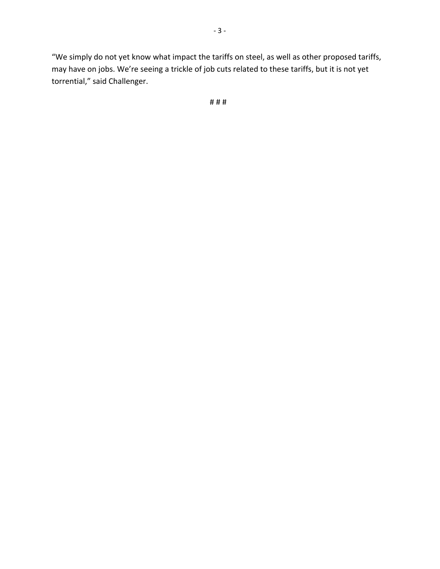"We simply do not yet know what impact the tariffs on steel, as well as other proposed tariffs, may have on jobs. We're seeing a trickle of job cuts related to these tariffs, but it is not yet torrential," said Challenger.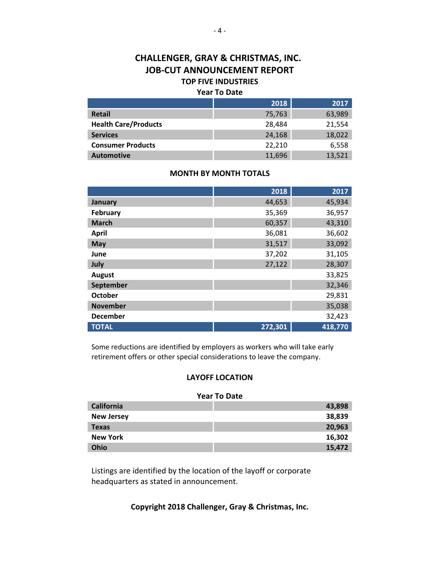### **CHALLENGER, GRAY & CHRISTMAS, INC. JOB-CUT ANNOUNCEMENT REPORT TOP FIVE INDUSTRIES**

#### **Year To Date**

|                             | 2018   | 2017   |
|-----------------------------|--------|--------|
| <b>Retail</b>               | 75,763 | 63,989 |
| <b>Health Care/Products</b> | 28,484 | 21,554 |
| <b>Services</b>             | 24,168 | 18,022 |
| <b>Consumer Products</b>    | 22,210 | 6,558  |
| <b>Automotive</b>           | 11,696 | 13,521 |

#### **MONTH BY MONTH TOTALS**

|                 | 2018    | 2017    |
|-----------------|---------|---------|
| January         | 44,653  | 45,934  |
| February        | 35,369  | 36,957  |
| <b>March</b>    | 60,357  | 43,310  |
| <b>April</b>    | 36,081  | 36,602  |
| May             | 31,517  | 33,092  |
| June            | 37,202  | 31,105  |
| July            | 27,122  | 28,307  |
| <b>August</b>   |         | 33,825  |
| September       |         | 32,346  |
| <b>October</b>  |         | 29,831  |
| <b>November</b> |         | 35,038  |
| <b>December</b> |         | 32,423  |
| <b>TOTAL</b>    | 272,301 | 418,770 |

Some reductions are identified by employers as workers who will take early retirement offers or other special considerations to leave the company.

#### **LAYOFF LOCATION**

#### **Year To Date**

| <b>California</b> | 43,898 |
|-------------------|--------|
| <b>New Jersey</b> | 38,839 |
| <b>Texas</b>      | 20,963 |
| <b>New York</b>   | 16,302 |
| <b>Ohio</b>       | 15,472 |

Listings are identified by the location of the layoff or corporate headquarters as stated in announcement.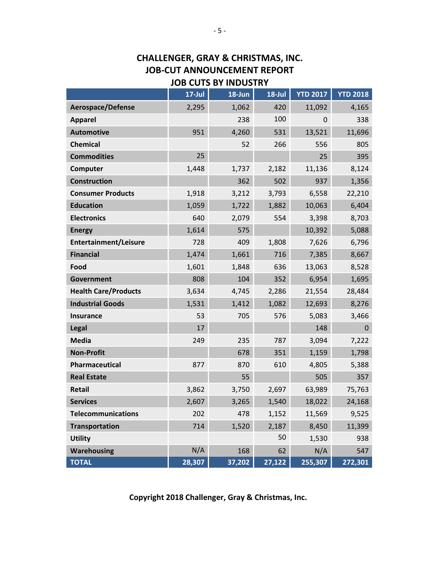### **CHALLENGER, GRAY & CHRISTMAS, INC. JOB-CUT ANNOUNCEMENT REPORT JOB CUTS BY INDUSTRY**

|                              | $17$ -Jul | 18-Jun | $18$ -Jul | <b>YTD 2017</b> | <b>YTD 2018</b> |
|------------------------------|-----------|--------|-----------|-----------------|-----------------|
| <b>Aerospace/Defense</b>     | 2,295     | 1,062  | 420       | 11,092          | 4,165           |
| <b>Apparel</b>               |           | 238    | 100       | 0               | 338             |
| <b>Automotive</b>            | 951       | 4,260  | 531       | 13,521          | 11,696          |
| <b>Chemical</b>              |           | 52     | 266       | 556             | 805             |
| <b>Commodities</b>           | 25        |        |           | 25              | 395             |
| Computer                     | 1,448     | 1,737  | 2,182     | 11,136          | 8,124           |
| <b>Construction</b>          |           | 362    | 502       | 937             | 1,356           |
| <b>Consumer Products</b>     | 1,918     | 3,212  | 3,793     | 6,558           | 22,210          |
| <b>Education</b>             | 1,059     | 1,722  | 1,882     | 10,063          | 6,404           |
| <b>Electronics</b>           | 640       | 2,079  | 554       | 3,398           | 8,703           |
| <b>Energy</b>                | 1,614     | 575    |           | 10,392          | 5,088           |
| <b>Entertainment/Leisure</b> | 728       | 409    | 1,808     | 7,626           | 6,796           |
| <b>Financial</b>             | 1,474     | 1,661  | 716       | 7,385           | 8,667           |
| Food                         | 1,601     | 1,848  | 636       | 13,063          | 8,528           |
| <b>Government</b>            | 808       | 104    | 352       | 6,954           | 1,695           |
| <b>Health Care/Products</b>  | 3,634     | 4,745  | 2,286     | 21,554          | 28,484          |
| <b>Industrial Goods</b>      | 1,531     | 1,412  | 1,082     | 12,693          | 8,276           |
| Insurance                    | 53        | 705    | 576       | 5,083           | 3,466           |
| <b>Legal</b>                 | 17        |        |           | 148             | $\mathbf 0$     |
| <b>Media</b>                 | 249       | 235    | 787       | 3,094           | 7,222           |
| <b>Non-Profit</b>            |           | 678    | 351       | 1,159           | 1,798           |
| Pharmaceutical               | 877       | 870    | 610       | 4,805           | 5,388           |
| <b>Real Estate</b>           |           | 55     |           | 505             | 357             |
| Retail                       | 3,862     | 3,750  | 2,697     | 63,989          | 75,763          |
| <b>Services</b>              | 2,607     | 3,265  | 1,540     | 18,022          | 24,168          |
| <b>Telecommunications</b>    | 202       | 478    | 1,152     | 11,569          | 9,525           |
| <b>Transportation</b>        | 714       | 1,520  | 2,187     | 8,450           | 11,399          |
| <b>Utility</b>               |           |        | 50        | 1,530           | 938             |
| <b>Warehousing</b>           | N/A       | 168    | 62        | N/A             | 547             |
| <b>TOTAL</b>                 | 28,307    | 37,202 | 27,122    | 255,307         | 272,301         |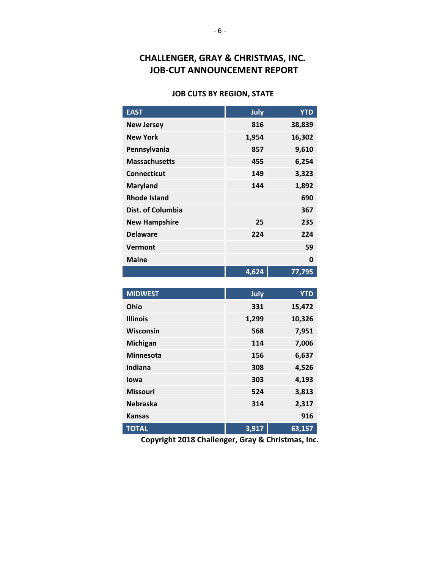## **CHALLENGER, GRAY & CHRISTMAS, INC. JOB-CUT ANNOUNCEMENT REPORT**

#### **JOB CUTS BY REGION, STATE**

| <b>EAST</b>          | July  | <b>YTD</b> |
|----------------------|-------|------------|
| <b>New Jersey</b>    | 816   | 38,839     |
| <b>New York</b>      | 1,954 | 16,302     |
| Pennsylvania         | 857   | 9,610      |
| <b>Massachusetts</b> | 455   | 6,254      |
| Connecticut          | 149   | 3,323      |
| <b>Maryland</b>      | 144   | 1,892      |
| <b>Rhode Island</b>  |       | 690        |
| Dist. of Columbia    |       | 367        |
| <b>New Hampshire</b> | 25    | 235        |
| <b>Delaware</b>      | 224   | 224        |
| Vermont              |       | 59         |
| <b>Maine</b>         |       | 0          |
|                      | 4,624 | 77,795     |

| <b>MIDWEST</b>   | July  | <b>YTD</b> |
|------------------|-------|------------|
| <b>Ohio</b>      | 331   | 15,472     |
| <b>Illinois</b>  | 1,299 | 10,326     |
| Wisconsin        | 568   | 7,951      |
| <b>Michigan</b>  | 114   | 7,006      |
| <b>Minnesota</b> | 156   | 6,637      |
| Indiana          | 308   | 4,526      |
| lowa             | 303   | 4,193      |
| <b>Missouri</b>  | 524   | 3,813      |
| <b>Nebraska</b>  | 314   | 2,317      |
| <b>Kansas</b>    |       | 916        |
| <b>TOTAL</b>     | 3,917 | 63,157     |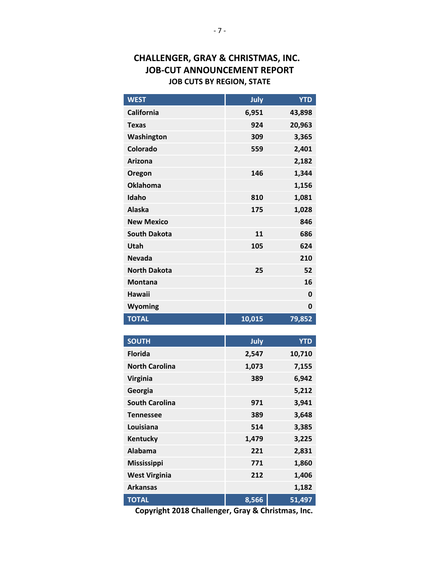### **CHALLENGER, GRAY & CHRISTMAS, INC. JOB-CUT ANNOUNCEMENT REPORT JOB CUTS BY REGION, STATE**

| <b>WEST</b>           | July   | <b>YTD</b> |
|-----------------------|--------|------------|
| <b>California</b>     | 6,951  | 43,898     |
| <b>Texas</b>          | 924    | 20,963     |
| Washington            | 309    | 3,365      |
| Colorado              | 559    | 2,401      |
| Arizona               |        | 2,182      |
| Oregon                | 146    | 1,344      |
| <b>Oklahoma</b>       |        | 1,156      |
| Idaho                 | 810    | 1,081      |
| <b>Alaska</b>         | 175    | 1,028      |
| <b>New Mexico</b>     |        | 846        |
| <b>South Dakota</b>   | 11     | 686        |
| Utah                  | 105    | 624        |
| Nevada                |        | 210        |
| <b>North Dakota</b>   | 25     | 52         |
| Montana               |        | 16         |
| Hawaii                |        | 0          |
| Wyoming               |        | 0          |
| <b>TOTAL</b>          | 10,015 | 79,852     |
|                       |        |            |
| <b>SOUTH</b>          | July   | <b>YTD</b> |
| <b>Florida</b>        | 2,547  | 10,710     |
| <b>North Carolina</b> | 1,073  | 7,155      |
| Virginia              | 389    | 6,942      |
| Georgia               |        | 5,212      |
| <b>South Carolina</b> | 971    | 3,941      |
| <b>Tennessee</b>      | 389    | 3,648      |
| Louisiana             | 514    | 3,385      |
| Kentucky              | 1,479  | 3,225      |
| Alabama               | 221    | 2,831      |

**TOTAL 8,566 51,497 Copyright 2018 Challenger, Gray & Christmas, Inc.**

**Mississippi 771 1,860 West Virginia 212 1,406 Arkansas 1,182**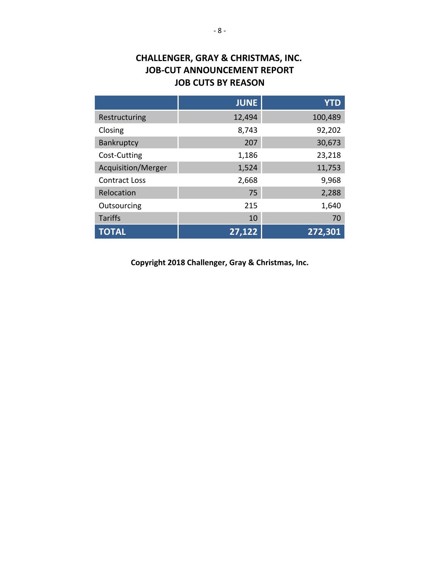## **CHALLENGER, GRAY & CHRISTMAS, INC. JOB-CUT ANNOUNCEMENT REPORT JOB CUTS BY REASON**

|                      | <b>JUNE</b> | <b>YTD</b> |
|----------------------|-------------|------------|
| Restructuring        | 12,494      | 100,489    |
| Closing              | 8,743       | 92,202     |
| Bankruptcy           | 207         | 30,673     |
| Cost-Cutting         | 1,186       | 23,218     |
| Acquisition/Merger   | 1,524       | 11,753     |
| <b>Contract Loss</b> | 2,668       | 9,968      |
| Relocation           | 75          | 2,288      |
| Outsourcing          | 215         | 1,640      |
| <b>Tariffs</b>       | 10          | 70         |
| <b>TOTAL</b>         | 27,122      | 272,301    |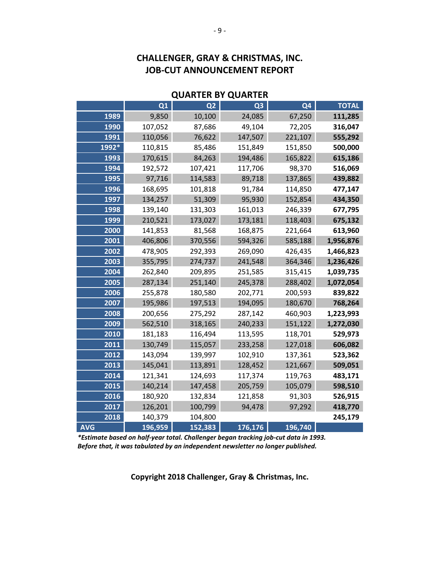### **CHALLENGER, GRAY & CHRISTMAS, INC. JOB-CUT ANNOUNCEMENT REPORT**

### **Q1 Q2 Q3 Q4 TOTAL** 9,850 10,100 24,085 67,250 **111,285** 107,052 87,686 49,104 72,205 **316,047** 110,056 76,622 147,507 221,107 **555,292 1992\*** 110,815 85,486 151,849 151,850 **500,000** 170,615 84,263 194,486 165,822 **615,186** 192,572 107,421 117,706 98,370 **516,069** 97,716 114,583 89,718 137,865 **439,882** 168,695 101,818 91,784 114,850 **477,147** 134,257 51,309 95,930 152,854 **434,350** 139,140 131,303 161,013 246,339 **677,795** 210,521 173,027 173,181 118,403 **675,132** 141,853 81,568 168,875 221,664 **613,960** 406,806 370,556 594,326 585,188 **1,956,876** 478,905 292,393 269,090 426,435 **1,466,823** 355,795 274,737 241,548 364,346 **1,236,426** 262,840 209,895 251,585 315,415 **1,039,735** 287,134 251,140 245,378 288,402 **1,072,054** 255,878 180,580 202,771 200,593 **839,822** 195,986 197,513 194,095 180,670 **768,264** 200,656 275,292 287,142 460,903 **1,223,993** 562,510 318,165 240,233 151,122 **1,272,030** 181,183 116,494 113,595 118,701 **529,973** 130,749 115,057 233,258 127,018 **606,082** 143,094 139,997 102,910 137,361 **523,362** 145,041 113,891 128,452 121,667 **509,051** 121,341 124,693 117,374 119,763 **483,171** 140,214 147,458 205,759 105,079 **598,510** 180,920 132,834 121,858 91,303 **526,915** 126,201 100,799 94,478 97,292 **418,770** 140,379 104,800 **245,179 AVG 196,959 152,383 176,176 196,740**

#### **QUARTER BY QUARTER**

*\*Estimate based on half-year total. Challenger began tracking job-cut data in 1993. Before that, it was tabulated by an independent newsletter no longer published.*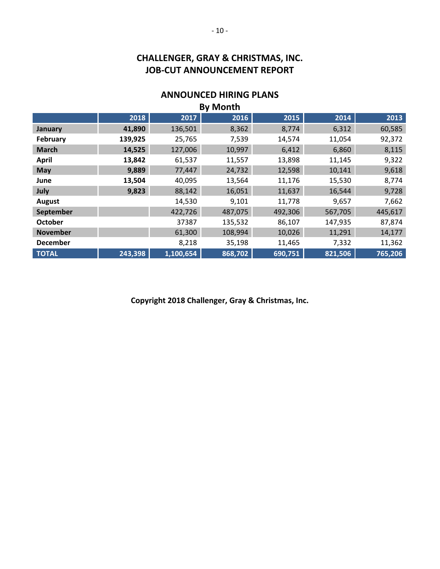## **CHALLENGER, GRAY & CHRISTMAS, INC. JOB-CUT ANNOUNCEMENT REPORT**

## **ANNOUNCED HIRING PLANS**

| <b>By Month</b> |         |           |         |         |         |         |
|-----------------|---------|-----------|---------|---------|---------|---------|
|                 | 2018    | 2017      | 2016    | 2015    | 2014    | 2013    |
| January         | 41,890  | 136,501   | 8,362   | 8,774   | 6,312   | 60,585  |
| February        | 139,925 | 25,765    | 7,539   | 14,574  | 11,054  | 92,372  |
| <b>March</b>    | 14,525  | 127,006   | 10,997  | 6,412   | 6,860   | 8,115   |
| <b>April</b>    | 13,842  | 61,537    | 11,557  | 13,898  | 11,145  | 9,322   |
| May             | 9,889   | 77,447    | 24,732  | 12,598  | 10,141  | 9,618   |
| June            | 13,504  | 40,095    | 13,564  | 11,176  | 15,530  | 8,774   |
| July            | 9,823   | 88,142    | 16,051  | 11,637  | 16,544  | 9,728   |
| August          |         | 14,530    | 9,101   | 11,778  | 9,657   | 7,662   |
| September       |         | 422,726   | 487,075 | 492,306 | 567,705 | 445,617 |
| <b>October</b>  |         | 37387     | 135,532 | 86,107  | 147,935 | 87,874  |
| <b>November</b> |         | 61,300    | 108,994 | 10,026  | 11,291  | 14,177  |
| <b>December</b> |         | 8,218     | 35,198  | 11,465  | 7,332   | 11,362  |
| <b>TOTAL</b>    | 243,398 | 1,100,654 | 868,702 | 690,751 | 821,506 | 765,206 |